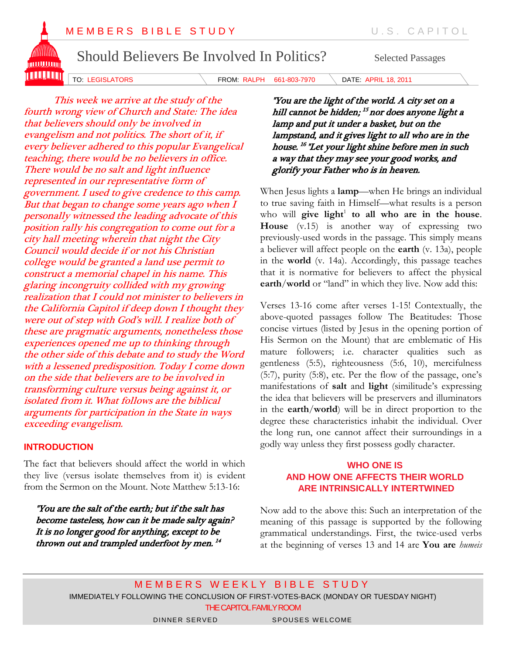

TO: LEGISLATORS FROM: RALPH 661-803-7970 DATE: APRIL 18, 2011

This week we arrive at the study of the fourth wrong view of Church and State: The idea that believers should only be involved in evangelism and not politics. The short of it, if every believer adhered to this popular Evangelical teaching, there would be no believers in office. There would be no salt and light influence represented in our representative form of government. I used to give credence to this camp. But that began to change some years ago when I personally witnessed the leading advocate of this position rally his congregation to come out for a city hall meeting wherein that night the City Council would decide if or not his Christian college would be granted a land use permit to construct a memorial chapel in his name. This glaring incongruity collided with my growing realization that I could not minister to believers in the California Capitol if deep down I thought they were out of step with God's will. I realize both of these are pragmatic arguments, nonetheless those experiences opened me up to thinking through the other side of this debate and to study the Word with a lessened predisposition. Today I come down on the side that believers are to be involved in transforming culture versus being against it, or isolated from it. What follows are the biblical arguments for participation in the State in ways exceeding evangelism.

## **INTRODUCTION**

The fact that believers should affect the world in which they live (versus isolate themselves from it) is evident from the Sermon on the Mount. Note Matthew 5:13-16:

 "You are the salt of the earth; but if the salt has become tasteless, how can it be made salty again? It is no longer good for anything, except to be thrown out and trampled underfoot by men. 14

"You are the light of the world. A city set on a hill cannot be hidden; <sup>15</sup> nor does anyone light a lamp and put it under a basket, but on the lampstand, and it gives light to all who are in the house. 16 "Let your light shine before men in such a way that they may see your good works, and glorify your Father who is in heaven.

When Jesus lights a **lamp**—when He brings an individual to true saving faith in Himself—what results is a person who will give light<sup>1</sup> to all who are in the house. **House** (v.15) is another way of expressing two previously-used words in the passage. This simply means a believer will affect people on the **earth** (v. 13a), people in the **world** (v. 14a). Accordingly, this passage teaches that it is normative for believers to affect the physical **earth**/**world** or "land" in which they live. Now add this:

Verses 13-16 come after verses 1-15! Contextually, the above-quoted passages follow The Beatitudes: Those concise virtues (listed by Jesus in the opening portion of His Sermon on the Mount) that are emblematic of His mature followers; i.e. character qualities such as gentleness (5:5), righteousness (5:6, 10), mercifulness (5:7), purity (5:8), etc. Per the flow of the passage, one's manifestations of **salt** and **light** (similitude's expressing the idea that believers will be preservers and illuminators in the **earth**/**world**) will be in direct proportion to the degree these characteristics inhabit the individual. Over the long run, one cannot affect their surroundings in a godly way unless they first possess godly character.

## **WHO ONE IS AND HOW ONE AFFECTS THEIR WORLD ARE INTRINSICALLY INTERTWINED**

Now add to the above this: Such an interpretation of the meaning of this passage is supported by the following grammatical understandings. First, the twice-used verbs at the beginning of verses 13 and 14 are **You are** *humeis* 

MEMBERS WEEKLY BIBLE STUDY IMMEDIATELY FOLLOWING THE CONCLUSION OF FIRST-VOTES-BACK (MONDAY OR TUESDAY NIGHT) THE CAPITOL FAMILY ROOM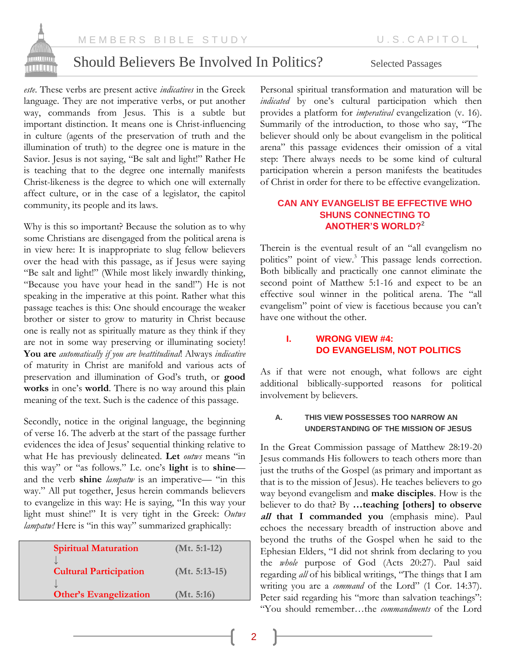

M E M B E R S B I B L E S T U D Y LETTER THAT MORE RISP. CAPITOL

# Should Believers Be Involved In Politics? Selected Passages

*este*. These verbs are present active *indicatives* in the Greek language. They are not imperative verbs, or put another way, commands from Jesus. This is a subtle but important distinction. It means one is Christ-influencing in culture (agents of the preservation of truth and the illumination of truth) to the degree one is mature in the Savior. Jesus is not saying, "Be salt and light!" Rather He is teaching that to the degree one internally manifests Christ-likeness is the degree to which one will externally affect culture, or in the case of a legislator, the capitol community, its people and its laws.

Why is this so important? Because the solution as to why some Christians are disengaged from the political arena is in view here: It is inappropriate to slug fellow believers over the head with this passage, as if Jesus were saying "Be salt and light!" (While most likely inwardly thinking, "Because you have your head in the sand!") He is not speaking in the imperative at this point. Rather what this passage teaches is this: One should encourage the weaker brother or sister to grow to maturity in Christ because one is really not as spiritually mature as they think if they are not in some way preserving or illuminating society! **You are** *automatically if you are beattitudinal*! Always *indicative* of maturity in Christ are manifold and various acts of preservation and illumination of God's truth, or **good works** in one's **world**. There is no way around this plain meaning of the text. Such is the cadence of this passage.

Secondly, notice in the original language, the beginning of verse 16. The adverb at the start of the passage further evidences the idea of Jesus' sequential thinking relative to what He has previously delineated. **Let** *outws* means "in this way" or "as follows." I.e. one's **light** is to **shine** and the verb **shine** *lampatw* is an imperative— "in this way." All put together, Jesus herein commands believers to evangelize in this way: He is saying, "In this way your light must shine!" It is very tight in the Greek: *Outws lampatw!* Here is "in this way" summarized graphically:

| <b>Spiritual Maturation</b>   | $(Mt. 5:1-12)$  |
|-------------------------------|-----------------|
| <b>Cultural Participation</b> | $(Mt. 5:13-15)$ |
| <b>Other's Evangelization</b> | (Mt. 5:16)      |

Personal spiritual transformation and maturation will be *indicated* by one's cultural participation which then provides a platform for *imperatival* evangelization (v. 16). Summarily of the introduction, to those who say, "The believer should only be about evangelism in the political arena" this passage evidences their omission of a vital step: There always needs to be some kind of cultural participation wherein a person manifests the beatitudes of Christ in order for there to be effective evangelization.

## **CAN ANY EVANGELIST BE EFFECTIVE WHO SHUNS CONNECTING TO ANOTHER'S WORLD?**<sup>2</sup>

Therein is the eventual result of an "all evangelism no politics" point of view.<sup>3</sup> This passage lends correction. Both biblically and practically one cannot eliminate the second point of Matthew 5:1-16 and expect to be an effective soul winner in the political arena. The "all evangelism" point of view is facetious because you can't have one without the other.

## **I. WRONG VIEW #4: DO EVANGELISM, NOT POLITICS**

As if that were not enough, what follows are eight additional biblically-supported reasons for political involvement by believers.

## **A. THIS VIEW POSSESSES TOO NARROW AN UNDERSTANDING OF THE MISSION OF JESUS**

In the Great Commission passage of Matthew 28:19-20 Jesus commands His followers to teach others more than just the truths of the Gospel (as primary and important as that is to the mission of Jesus). He teaches believers to go way beyond evangelism and **make disciples**. How is the believer to do that? By **…teaching [others] to observe all that I commanded you** (emphasis mine). Paul echoes the necessary breadth of instruction above and beyond the truths of the Gospel when he said to the Ephesian Elders, "I did not shrink from declaring to you the *whole* purpose of God (Acts 20:27). Paul said regarding *all* of his biblical writings, "The things that I am writing you are a *command* of the Lord" (1 Cor. 14:37). Peter said regarding his "more than salvation teachings": "You should remember…the *commandments* of the Lord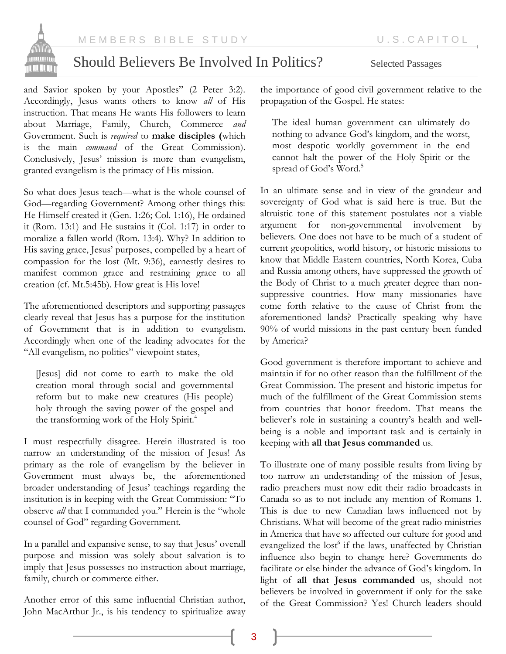

and Savior spoken by your Apostles" (2 Peter 3:2). Accordingly, Jesus wants others to know *all* of His instruction. That means He wants His followers to learn about Marriage, Family, Church, Commerce *and* Government. Such is *required* to **make disciples (**which is the main *command* of the Great Commission). Conclusively, Jesus' mission is more than evangelism, granted evangelism is the primacy of His mission.

So what does Jesus teach—what is the whole counsel of God—regarding Government? Among other things this: He Himself created it (Gen. 1:26; Col. 1:16), He ordained it (Rom. 13:1) and He sustains it (Col. 1:17) in order to moralize a fallen world (Rom. 13:4). Why? In addition to His saving grace, Jesus' purposes, compelled by a heart of compassion for the lost (Mt. 9:36), earnestly desires to manifest common grace and restraining grace to all creation (cf. Mt.5:45b). How great is His love!

The aforementioned descriptors and supporting passages clearly reveal that Jesus has a purpose for the institution of Government that is in addition to evangelism. Accordingly when one of the leading advocates for the "All evangelism, no politics" viewpoint states,

[Jesus] did not come to earth to make the old creation moral through social and governmental reform but to make new creatures (His people) holy through the saving power of the gospel and the transforming work of the Holy Spirit.<sup>4</sup>

I must respectfully disagree. Herein illustrated is too narrow an understanding of the mission of Jesus! As primary as the role of evangelism by the believer in Government must always be, the aforementioned broader understanding of Jesus' teachings regarding the institution is in keeping with the Great Commission: "To observe *all* that I commanded you." Herein is the "whole counsel of God" regarding Government.

In a parallel and expansive sense, to say that Jesus' overall purpose and mission was solely about salvation is to imply that Jesus possesses no instruction about marriage, family, church or commerce either.

Another error of this same influential Christian author, John MacArthur Jr., is his tendency to spiritualize away the importance of good civil government relative to the propagation of the Gospel. He states:

The ideal human government can ultimately do nothing to advance God's kingdom, and the worst, most despotic worldly government in the end cannot halt the power of the Holy Spirit or the spread of God's Word.<sup>5</sup>

In an ultimate sense and in view of the grandeur and sovereignty of God what is said here is true. But the altruistic tone of this statement postulates not a viable argument for non-governmental involvement by believers. One does not have to be much of a student of current geopolitics, world history, or historic missions to know that Middle Eastern countries, North Korea, Cuba and Russia among others, have suppressed the growth of the Body of Christ to a much greater degree than nonsuppressive countries. How many missionaries have come forth relative to the cause of Christ from the aforementioned lands? Practically speaking why have 90% of world missions in the past century been funded by America?

Good government is therefore important to achieve and maintain if for no other reason than the fulfillment of the Great Commission. The present and historic impetus for much of the fulfillment of the Great Commission stems from countries that honor freedom. That means the believer's role in sustaining a country's health and wellbeing is a noble and important task and is certainly in keeping with **all that Jesus commanded** us.

To illustrate one of many possible results from living by too narrow an understanding of the mission of Jesus, radio preachers must now edit their radio broadcasts in Canada so as to not include any mention of Romans 1. This is due to new Canadian laws influenced not by Christians. What will become of the great radio ministries in America that have so affected our culture for good and evangelized the lost<sup>6</sup> if the laws, unaffected by Christian influence also begin to change here? Governments do facilitate or else hinder the advance of God's kingdom. In light of **all that Jesus commanded** us, should not believers be involved in government if only for the sake of the Great Commission? Yes! Church leaders should

3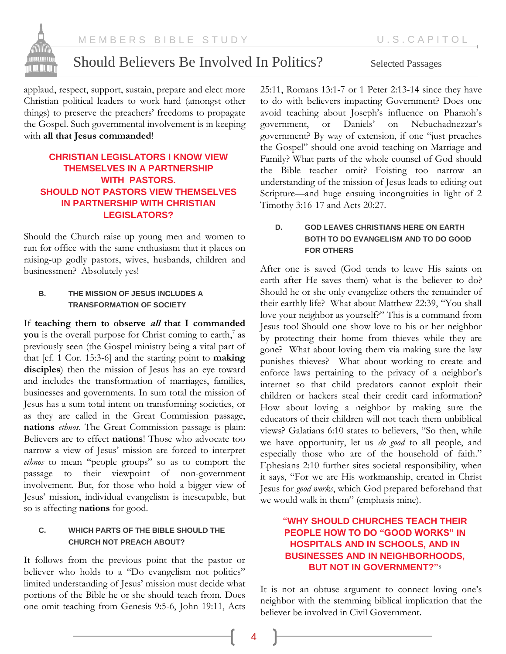

applaud, respect, support, sustain, prepare and elect more Christian political leaders to work hard (amongst other things) to preserve the preachers' freedoms to propagate the Gospel. Such governmental involvement is in keeping with **all that Jesus commanded**!

## **CHRISTIAN LEGISLATORS I KNOW VIEW THEMSELVES IN A PARTNERSHIP WITH PASTORS. SHOULD NOT PASTORS VIEW THEMSELVES IN PARTNERSHIP WITH CHRISTIAN LEGISLATORS?**

Should the Church raise up young men and women to run for office with the same enthusiasm that it places on raising-up godly pastors, wives, husbands, children and businessmen? Absolutely yes!

### **B. THE MISSION OF JESUS INCLUDES A TRANSFORMATION OF SOCIETY**

If **teaching them to observe all that I commanded you** is the overall purpose for Christ coming to earth,<sup>7</sup> as previously seen (the Gospel ministry being a vital part of that [cf. 1 Cor. 15:3-6] and the starting point to **making disciples**) then the mission of Jesus has an eye toward and includes the transformation of marriages, families, businesses and governments. In sum total the mission of Jesus has a sum total intent on transforming societies, or as they are called in the Great Commission passage, **nations** *ethnos*. The Great Commission passage is plain: Believers are to effect **nations**! Those who advocate too narrow a view of Jesus' mission are forced to interpret *ethnos* to mean "people groups" so as to comport the passage to their viewpoint of non-government involvement. But, for those who hold a bigger view of Jesus' mission, individual evangelism is inescapable, but so is affecting **nations** for good.

## **C. WHICH PARTS OF THE BIBLE SHOULD THE CHURCH NOT PREACH ABOUT?**

It follows from the previous point that the pastor or believer who holds to a "Do evangelism not politics" limited understanding of Jesus' mission must decide what portions of the Bible he or she should teach from. Does one omit teaching from Genesis 9:5-6, John 19:11, Acts

25:11, Romans 13:1-7 or 1 Peter 2:13-14 since they have to do with believers impacting Government? Does one avoid teaching about Joseph's influence on Pharaoh's government, or Daniels' on Nebuchadnezzar's government? By way of extension, if one "just preaches the Gospel" should one avoid teaching on Marriage and Family? What parts of the whole counsel of God should the Bible teacher omit? Foisting too narrow an understanding of the mission of Jesus leads to editing out Scripture—and huge ensuing incongruities in light of 2 Timothy 3:16-17 and Acts 20:27.

## **D. GOD LEAVES CHRISTIANS HERE ON EARTH BOTH TO DO EVANGELISM AND TO DO GOOD FOR OTHERS**

After one is saved (God tends to leave His saints on earth after He saves them) what is the believer to do? Should he or she only evangelize others the remainder of their earthly life? What about Matthew 22:39, "You shall love your neighbor as yourself?" This is a command from Jesus too! Should one show love to his or her neighbor by protecting their home from thieves while they are gone? What about loving them via making sure the law punishes thieves? What about working to create and enforce laws pertaining to the privacy of a neighbor's internet so that child predators cannot exploit their children or hackers steal their credit card information? How about loving a neighbor by making sure the educators of their children will not teach them unbiblical views? Galatians 6:10 states to believers, "So then, while we have opportunity, let us *do good* to all people, and especially those who are of the household of faith." Ephesians 2:10 further sites societal responsibility, when it says, "For we are His workmanship, created in Christ Jesus for *good works*, which God prepared beforehand that we would walk in them" (emphasis mine).

## **"WHY SHOULD CHURCHES TEACH THEIR PEOPLE HOW TO DO "GOOD WORKS" IN HOSPITALS AND IN SCHOOLS, AND IN BUSINESSES AND IN NEIGHBORHOODS, BUT NOT IN GOVERNMENT?"**<sup>8</sup>

It is not an obtuse argument to connect loving one's neighbor with the stemming biblical implication that the believer be involved in Civil Government.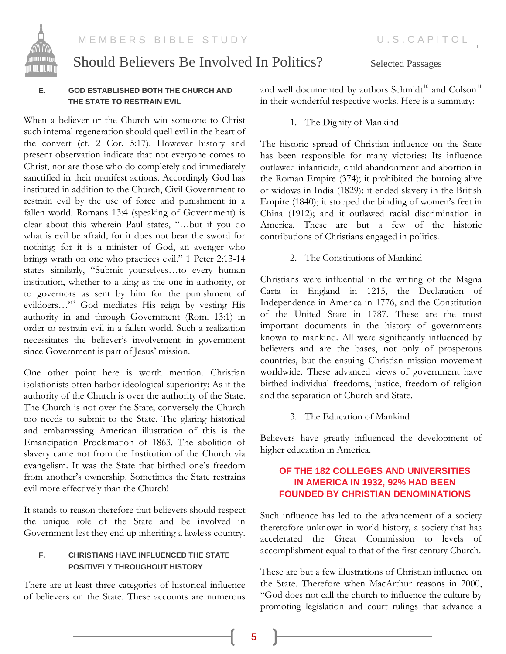

### **E. GOD ESTABLISHED BOTH THE CHURCH AND THE STATE TO RESTRAIN EVIL**

When a believer or the Church win someone to Christ such internal regeneration should quell evil in the heart of the convert (cf. 2 Cor. 5:17). However history and present observation indicate that not everyone comes to Christ, nor are those who do completely and immediately sanctified in their manifest actions. Accordingly God has instituted in addition to the Church, Civil Government to restrain evil by the use of force and punishment in a fallen world. Romans 13:4 (speaking of Government) is clear about this wherein Paul states, "…but if you do what is evil be afraid, for it does not bear the sword for nothing; for it is a minister of God, an avenger who brings wrath on one who practices evil." 1 Peter 2:13-14 states similarly, "Submit yourselves…to every human institution, whether to a king as the one in authority, or to governors as sent by him for the punishment of evildoers…"<sup>9</sup> God mediates His reign by vesting His authority in and through Government (Rom. 13:1) in order to restrain evil in a fallen world. Such a realization necessitates the believer's involvement in government since Government is part of Jesus' mission.

One other point here is worth mention. Christian isolationists often harbor ideological superiority: As if the authority of the Church is over the authority of the State. The Church is not over the State; conversely the Church too needs to submit to the State. The glaring historical and embarrassing American illustration of this is the Emancipation Proclamation of 1863. The abolition of slavery came not from the Institution of the Church via evangelism. It was the State that birthed one's freedom from another's ownership. Sometimes the State restrains evil more effectively than the Church!

It stands to reason therefore that believers should respect the unique role of the State and be involved in Government lest they end up inheriting a lawless country.

## **F. CHRISTIANS HAVE INFLUENCED THE STATE POSITIVELY THROUGHOUT HISTORY**

There are at least three categories of historical influence of believers on the State. These accounts are numerous and well documented by authors Schmidt<sup>10</sup> and  $\mathrm{Colson}^{11}$ in their wonderful respective works. Here is a summary:

1. The Dignity of Mankind

The historic spread of Christian influence on the State has been responsible for many victories: Its influence outlawed infanticide, child abandonment and abortion in the Roman Empire (374); it prohibited the burning alive of widows in India (1829); it ended slavery in the British Empire (1840); it stopped the binding of women's feet in China (1912); and it outlawed racial discrimination in America. These are but a few of the historic contributions of Christians engaged in politics.

2. The Constitutions of Mankind

Christians were influential in the writing of the Magna Carta in England in 1215, the Declaration of Independence in America in 1776, and the Constitution of the United State in 1787. These are the most important documents in the history of governments known to mankind. All were significantly influenced by believers and are the bases, not only of prosperous countries, but the ensuing Christian mission movement worldwide. These advanced views of government have birthed individual freedoms, justice, freedom of religion and the separation of Church and State.

3. The Education of Mankind

Believers have greatly influenced the development of higher education in America.

## **OF THE 182 COLLEGES AND UNIVERSITIES IN AMERICA IN 1932, 92% HAD BEEN FOUNDED BY CHRISTIAN DENOMINATIONS**

Such influence has led to the advancement of a society theretofore unknown in world history, a society that has accelerated the Great Commission to levels of accomplishment equal to that of the first century Church.

These are but a few illustrations of Christian influence on the State. Therefore when MacArthur reasons in 2000, "God does not call the church to influence the culture by promoting legislation and court rulings that advance a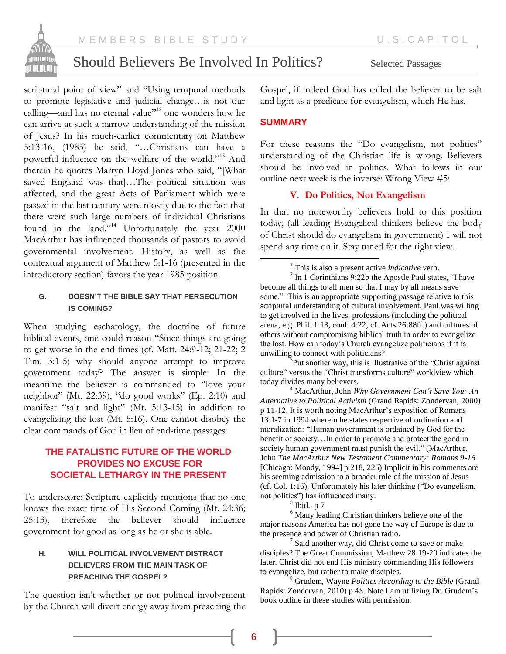

scriptural point of view" and "Using temporal methods to promote legislative and judicial change…is not our calling—and has no eternal value"<sup>12</sup> one wonders how he can arrive at such a narrow understanding of the mission of Jesus? In his much-earlier commentary on Matthew 5:13-16, (1985) he said, "…Christians can have a powerful influence on the welfare of the world."<sup>13</sup> And therein he quotes Martyn Lloyd-Jones who said, "[What saved England was that]…The political situation was affected, and the great Acts of Parliament which were passed in the last century were mostly due to the fact that there were such large numbers of individual Christians found in the land."<sup>14</sup> Unfortunately the year 2000 MacArthur has influenced thousands of pastors to avoid governmental involvement. History, as well as the contextual argument of Matthew 5:1-16 (presented in the introductory section) favors the year 1985 position.

### **G. DOESN'T THE BIBLE SAY THAT PERSECUTION IS COMING?**

When studying eschatology, the doctrine of future biblical events, one could reason "Since things are going to get worse in the end times (cf. Matt. 24:9-12; 21-22; 2 Tim. 3:1-5) why should anyone attempt to improve government today? The answer is simple: In the meantime the believer is commanded to "love your neighbor" (Mt. 22:39), "do good works" (Ep. 2:10) and manifest "salt and light" (Mt. 5:13-15) in addition to evangelizing the lost (Mt. 5:16). One cannot disobey the clear commands of God in lieu of end-time passages.

## **THE FATALISTIC FUTURE OF THE WORLD PROVIDES NO EXCUSE FOR SOCIETAL LETHARGY IN THE PRESENT**

To underscore: Scripture explicitly mentions that no one knows the exact time of His Second Coming (Mt. 24:36; 25:13), therefore the believer should influence government for good as long as he or she is able.

## **H. WILL POLITICAL INVOLVEMENT DISTRACT BELIEVERS FROM THE MAIN TASK OF PREACHING THE GOSPEL?**

The question isn't whether or not political involvement by the Church will divert energy away from preaching the

Gospel, if indeed God has called the believer to be salt and light as a predicate for evangelism, which He has.

## **SUMMARY**

 $\overline{a}$ 

For these reasons the "Do evangelism, not politics" understanding of the Christian life is wrong. Believers should be involved in politics. What follows in our outline next week is the inverse: Wrong View #5:

## **V. Do Politics, Not Evangelism**

In that no noteworthy believers hold to this position today, (all leading Evangelical thinkers believe the body of Christ should do evangelism in government) I will not spend any time on it. Stay tuned for the right view.

<sup>1</sup> This is also a present active *indicative* verb.<br><sup>2</sup> In 1 Corinthians 9:22b the Apostle Paul states, "I have become all things to all men so that I may by all means save some." This is an appropriate supporting passage relative to this scriptural understanding of cultural involvement. Paul was willing to get involved in the lives, professions (including the political arena, e.g. Phil. 1:13, conf. 4:22; cf. Acts 26:88ff.) and cultures of others without compromising biblical truth in order to evangelize the lost. How can today's Church evangelize politicians if it is unwilling to connect with politicians?

 $3$ Put another way, this is illustrative of the "Christ against" culture" versus the "Christ transforms culture" worldview which today divides many believers.

<sup>4</sup> MacArthur, John *Why Government Can't Save You: An Alternative to Political Activism* (Grand Rapids: Zondervan, 2000) p 11-12. It is worth noting MacArthur's exposition of Romans 13:1-7 in 1994 wherein he states respective of ordination and moralization: "Human government is ordained by God for the benefit of society…In order to promote and protect the good in society human government must punish the evil." (MacArthur, John *The MacArthur New Testament Commentary: Romans 9-16*  [Chicago: Moody, 1994] p 218, 225) Implicit in his comments are his seeming admission to a broader role of the mission of Jesus (cf. Col. 1:16). Unfortunately his later thinking ("Do evangelism, not politics") has influenced many.

 $<sup>5</sup>$  Ibid., p 7</sup>

<sup>6</sup> Many leading Christian thinkers believe one of the major reasons America has not gone the way of Europe is due to the presence and power of Christian radio.

<sup>7</sup> Said another way, did Christ come to save or make disciples? The Great Commission, Matthew 28:19-20 indicates the later. Christ did not end His ministry commanding His followers to evangelize, but rather to make disciples.

<sup>8</sup> Grudem, Wayne *Politics According to the Bible* (Grand Rapids: Zondervan, 2010) p 48. Note I am utilizing Dr. Grudem's book outline in these studies with permission.